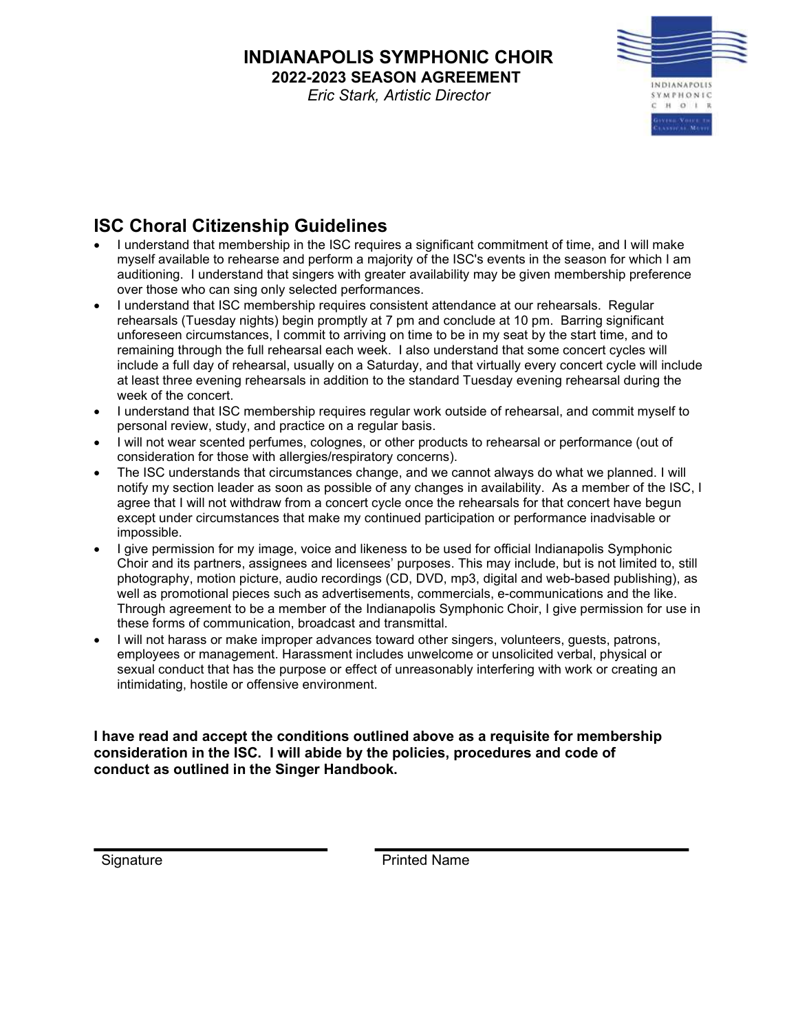## INDIANAPOLIS SYMPHONIC CHOIR 2022-2023 SEASON AGREEMENT

Eric Stark, Artistic Director



## ISC Choral Citizenship Guidelines

- I understand that membership in the ISC requires a significant commitment of time, and I will make myself available to rehearse and perform a majority of the ISC's events in the season for which I am auditioning. I understand that singers with greater availability may be given membership preference over those who can sing only selected performances.
- I understand that ISC membership requires consistent attendance at our rehearsals. Regular rehearsals (Tuesday nights) begin promptly at 7 pm and conclude at 10 pm. Barring significant unforeseen circumstances, I commit to arriving on time to be in my seat by the start time, and to remaining through the full rehearsal each week. I also understand that some concert cycles will include a full day of rehearsal, usually on a Saturday, and that virtually every concert cycle will include at least three evening rehearsals in addition to the standard Tuesday evening rehearsal during the week of the concert.
- I understand that ISC membership requires regular work outside of rehearsal, and commit myself to personal review, study, and practice on a regular basis.
- I will not wear scented perfumes, colognes, or other products to rehearsal or performance (out of consideration for those with allergies/respiratory concerns).
- The ISC understands that circumstances change, and we cannot always do what we planned. I will notify my section leader as soon as possible of any changes in availability. As a member of the ISC, I agree that I will not withdraw from a concert cycle once the rehearsals for that concert have begun except under circumstances that make my continued participation or performance inadvisable or impossible.
- I give permission for my image, voice and likeness to be used for official Indianapolis Symphonic Choir and its partners, assignees and licensees' purposes. This may include, but is not limited to, still photography, motion picture, audio recordings (CD, DVD, mp3, digital and web-based publishing), as well as promotional pieces such as advertisements, commercials, e-communications and the like. Through agreement to be a member of the Indianapolis Symphonic Choir, I give permission for use in these forms of communication, broadcast and transmittal.
- I will not harass or make improper advances toward other singers, volunteers, guests, patrons, employees or management. Harassment includes unwelcome or unsolicited verbal, physical or sexual conduct that has the purpose or effect of unreasonably interfering with work or creating an intimidating, hostile or offensive environment.

I have read and accept the conditions outlined above as a requisite for membership consideration in the ISC. I will abide by the policies, procedures and code of conduct as outlined in the Singer Handbook.

Signature **Printed Name**